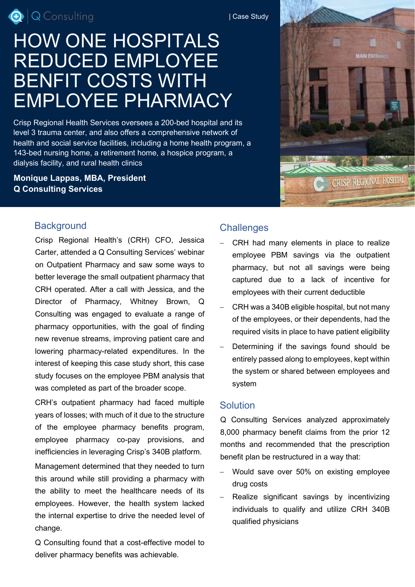Q | Q Consulting

# HOW ONE HOSPITALS REDUCED EMPLOYEE BENFIT COSTS WITH EMPLOYEE PHARMACY

Crisp Regional Health Services oversees a 200-bed hospital and its level 3 trauma center, and also offers a comprehensive network of health and social service facilities, including a home health program, a 143-bed nursing home, a retirement home, a hospice program, a dialysis facility, and rural health clinics

## **Monique Lappas, MBA, President Q Consulting Services**

## **Background**

Crisp Regional Health's (CRH) CFO, Jessica Carter, attended a Q Consulting Services' webinar on Outpatient Pharmacy and saw some ways to better leverage the small outpatient pharmacy that CRH operated. After a call with Jessica, and the Director of Pharmacy, Whitney Brown, Q Consulting was engaged to evaluate a range of pharmacy opportunities, with the goal of finding new revenue streams, improving patient care and lowering pharmacy-related expenditures. In the interest of keeping this case study short, this case study focuses on the employee PBM analysis that was completed as part of the broader scope.

CRH's outpatient pharmacy had faced multiple years of losses; with much of it due to the structure of the employee pharmacy benefits program, employee pharmacy co-pay provisions, and inefficiencies in leveraging Crisp's 340B platform.

Management determined that they needed to turn this around while still providing a pharmacy with the ability to meet the healthcare needs of its employees. However, the health system lacked the internal expertise to drive the needed level of change.

Q Consulting found that a cost-effective model to deliver pharmacy benefits was achievable.

## **Challenges**

- CRH had many elements in place to realize employee PBM savings via the outpatient pharmacy, but not all savings were being captured due to a lack of incentive for employees with their current deductible
- − CRH was a 340B eligible hospital, but not many of the employees, or their dependents, had the required visits in place to have patient eligibility
- Determining if the savings found should be entirely passed along to employees, kept within the system or shared between employees and system

#### **Solution**

Q Consulting Services analyzed approximately 8,000 pharmacy benefit claims from the prior 12 months and recommended that the prescription benefit plan be restructured in a way that:

- Would save over 50% on existing employee drug costs
- Realize significant savings by incentivizing individuals to qualify and utilize CRH 340B qualified physicians



| Case Study